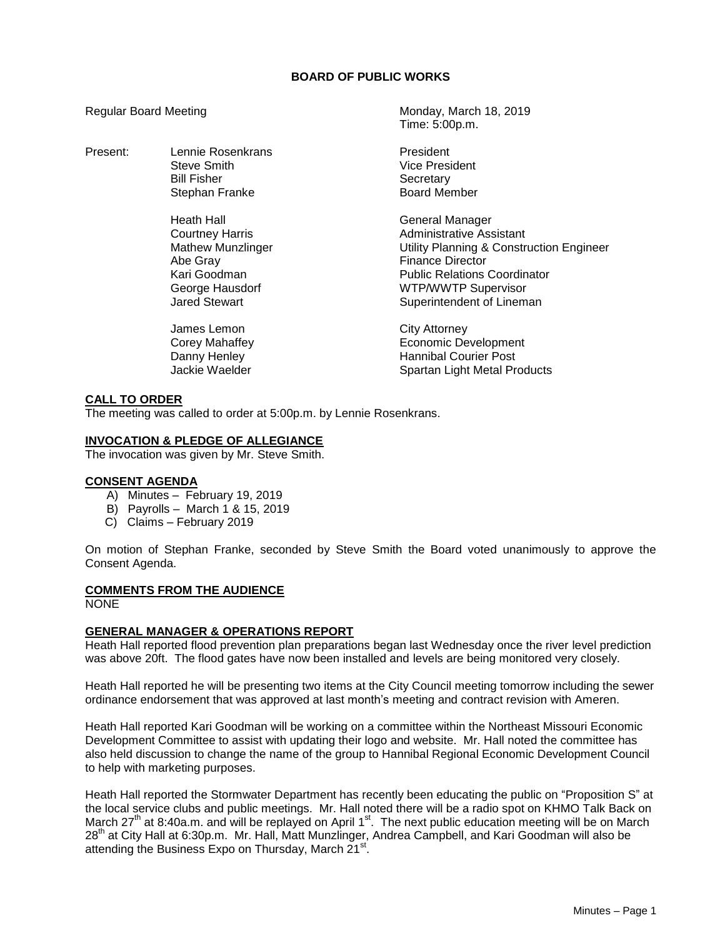## **BOARD OF PUBLIC WORKS**

Time: 5:00p.m.

Regular Board Meeting Monday, March 18, 2019

| Present: | Lennie Rosenkrans<br><b>Steve Smith</b><br><b>Bill Fisher</b><br>Stephan Franke                                                         | President<br><b>Vice President</b><br>Secretary<br><b>Board Member</b>                                                                                                                                               |
|----------|-----------------------------------------------------------------------------------------------------------------------------------------|----------------------------------------------------------------------------------------------------------------------------------------------------------------------------------------------------------------------|
|          | Heath Hall<br><b>Courtney Harris</b><br><b>Mathew Munzlinger</b><br>Abe Gray<br>Kari Goodman<br>George Hausdorf<br><b>Jared Stewart</b> | General Manager<br>Administrative Assistant<br>Utility Planning & Construction Engineer<br><b>Finance Director</b><br><b>Public Relations Coordinator</b><br><b>WTP/WWTP Supervisor</b><br>Superintendent of Lineman |
|          | James Lemon<br>Corey Mahaffey<br>Danny Henley<br>Jackie Waelder                                                                         | City Attorney<br>Economic Development<br><b>Hannibal Courier Post</b><br>Spartan Light Metal Products                                                                                                                |

# **CALL TO ORDER**

The meeting was called to order at 5:00p.m. by Lennie Rosenkrans.

#### **INVOCATION & PLEDGE OF ALLEGIANCE**

The invocation was given by Mr. Steve Smith.

## **CONSENT AGENDA**

- A) Minutes February 19, 2019
- B) Payrolls March 1 & 15, 2019
- C) Claims February 2019

On motion of Stephan Franke, seconded by Steve Smith the Board voted unanimously to approve the Consent Agenda.

## **COMMENTS FROM THE AUDIENCE**

NONE

## **GENERAL MANAGER & OPERATIONS REPORT**

Heath Hall reported flood prevention plan preparations began last Wednesday once the river level prediction was above 20ft. The flood gates have now been installed and levels are being monitored very closely.

Heath Hall reported he will be presenting two items at the City Council meeting tomorrow including the sewer ordinance endorsement that was approved at last month's meeting and contract revision with Ameren.

Heath Hall reported Kari Goodman will be working on a committee within the Northeast Missouri Economic Development Committee to assist with updating their logo and website. Mr. Hall noted the committee has also held discussion to change the name of the group to Hannibal Regional Economic Development Council to help with marketing purposes.

Heath Hall reported the Stormwater Department has recently been educating the public on "Proposition S" at the local service clubs and public meetings. Mr. Hall noted there will be a radio spot on KHMO Talk Back on March 27<sup>th</sup> at 8:40a.m. and will be replayed on April 1<sup>st</sup>. The next public education meeting will be on March 28<sup>th</sup> at City Hall at 6:30p.m. Mr. Hall, Matt Munzlinger, Andrea Campbell, and Kari Goodman will also be attending the Business Expo on Thursday, March 21<sup>st</sup>.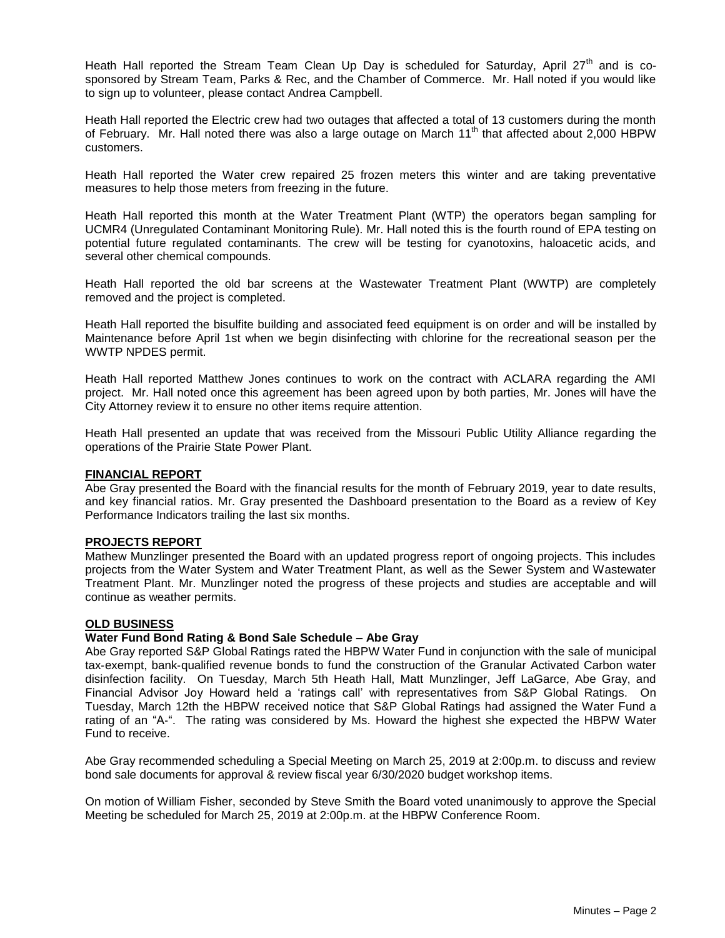Heath Hall reported the Stream Team Clean Up Day is scheduled for Saturday, April  $27<sup>th</sup>$  and is cosponsored by Stream Team, Parks & Rec, and the Chamber of Commerce. Mr. Hall noted if you would like to sign up to volunteer, please contact Andrea Campbell.

Heath Hall reported the Electric crew had two outages that affected a total of 13 customers during the month of February. Mr. Hall noted there was also a large outage on March  $11<sup>th</sup>$  that affected about 2,000 HBPW customers.

Heath Hall reported the Water crew repaired 25 frozen meters this winter and are taking preventative measures to help those meters from freezing in the future.

Heath Hall reported this month at the Water Treatment Plant (WTP) the operators began sampling for UCMR4 (Unregulated Contaminant Monitoring Rule). Mr. Hall noted this is the fourth round of EPA testing on potential future regulated contaminants. The crew will be testing for cyanotoxins, haloacetic acids, and several other chemical compounds.

Heath Hall reported the old bar screens at the Wastewater Treatment Plant (WWTP) are completely removed and the project is completed.

Heath Hall reported the bisulfite building and associated feed equipment is on order and will be installed by Maintenance before April 1st when we begin disinfecting with chlorine for the recreational season per the WWTP NPDES permit.

Heath Hall reported Matthew Jones continues to work on the contract with ACLARA regarding the AMI project. Mr. Hall noted once this agreement has been agreed upon by both parties, Mr. Jones will have the City Attorney review it to ensure no other items require attention.

Heath Hall presented an update that was received from the Missouri Public Utility Alliance regarding the operations of the Prairie State Power Plant.

### **FINANCIAL REPORT**

Abe Gray presented the Board with the financial results for the month of February 2019, year to date results, and key financial ratios. Mr. Gray presented the Dashboard presentation to the Board as a review of Key Performance Indicators trailing the last six months.

#### **PROJECTS REPORT**

Mathew Munzlinger presented the Board with an updated progress report of ongoing projects. This includes projects from the Water System and Water Treatment Plant, as well as the Sewer System and Wastewater Treatment Plant. Mr. Munzlinger noted the progress of these projects and studies are acceptable and will continue as weather permits.

#### **OLD BUSINESS**

#### **Water Fund Bond Rating & Bond Sale Schedule – Abe Gray**

Abe Gray reported S&P Global Ratings rated the HBPW Water Fund in conjunction with the sale of municipal tax‐exempt, bank‐qualified revenue bonds to fund the construction of the Granular Activated Carbon water disinfection facility. On Tuesday, March 5th Heath Hall, Matt Munzlinger, Jeff LaGarce, Abe Gray, and Financial Advisor Joy Howard held a 'ratings call' with representatives from S&P Global Ratings. On Tuesday, March 12th the HBPW received notice that S&P Global Ratings had assigned the Water Fund a rating of an "A‐". The rating was considered by Ms. Howard the highest she expected the HBPW Water Fund to receive.

Abe Gray recommended scheduling a Special Meeting on March 25, 2019 at 2:00p.m. to discuss and review bond sale documents for approval & review fiscal year 6/30/2020 budget workshop items.

On motion of William Fisher, seconded by Steve Smith the Board voted unanimously to approve the Special Meeting be scheduled for March 25, 2019 at 2:00p.m. at the HBPW Conference Room.